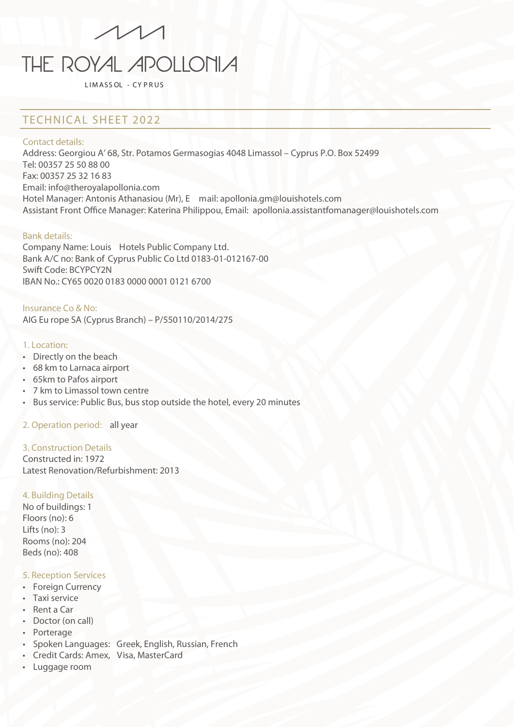# $\sqrt{11}$ THE ROYAL APOLLONIA

L IM ASS OL - CY P R US

### TECHNICAL SHEET 2022

#### Contact details:

Address: Georgiou A' 68, Str. Potamos Germasogias 4048 Limassol – Cyprus P.O. Box 52499 Tel: 00357 25 50 88 00 Fax: 00357 25 32 16 83 Email: info@theroyalapollonia.com Hotel Manager: Antonis Athanasiou (Mr), E mail: apollonia.gm@louishotels.com Assistant Front Office Manager: Katerina Philippou, Email: apollonia.assistantfomanager@louishotels.com

#### Bank details:

Company Name: Louis Hotels Public Company Ltd. Bank A/C no: Bank of Cyprus Public Co Ltd 0183-01-012167-00 Swift Code: BCYPCY2N IBAN No.: CY65 0020 0183 0000 0001 0121 6700

#### Insurance Co & No:

AIG Eu rope SA (Cyprus Branch) – P/550110/2014/275

#### 1. Location:

- Directly on the beach
- 68 km to Larnaca airport
- 65km to Pafos airport
- 7 km to Limassol town centre
- Bus service: Public Bus, bus stop outside the hotel, every 20 minutes

#### 2. Operation period: all year

#### 3. Construction Details

Constructed in: 1972 Latest Renovation/Refurbishment: 2013

#### 4. Building Details

No of buildings: 1 Floors (no): 6 Lifts (no): 3 Rooms (no): 204 Beds (no): 408

#### 5. Reception Services

- Foreign Currency
- Taxi service
- Rent a Car
- Doctor (on call)
- Porterage
- Spoken Languages: Greek, English, Russian, French
- Credit Cards: Amex, Visa, MasterCard
- Luggage room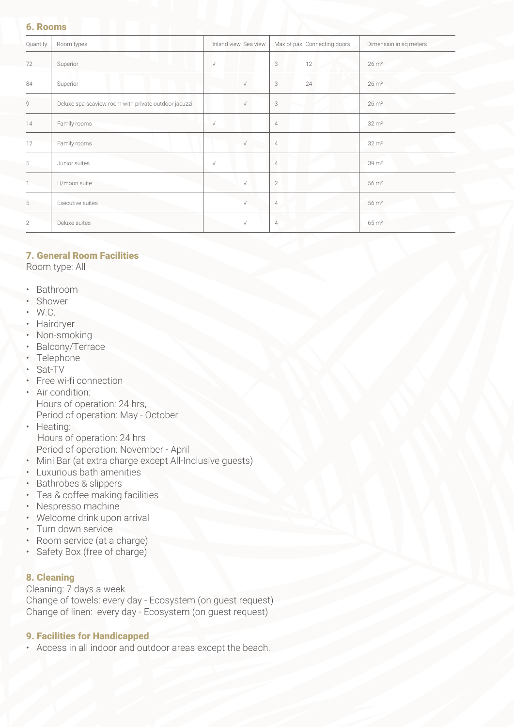#### 6. Rooms

| Quantity     | Room types                                           | Inland view Sea view | Max of pax Connecting doors | Dimension in sq meters |
|--------------|------------------------------------------------------|----------------------|-----------------------------|------------------------|
| 72           | Superior                                             | $\sqrt{ }$           | 3<br>12                     | $26 \text{ m}^2$       |
| 84           | Superior                                             | $\sqrt{}$            | 3<br>24                     | $26 \text{ m}^2$       |
| $\mathsf g$  | Deluxe spa seaview room with private outdoor jacuzzi | $\sqrt{}$            | 3                           | $26 \text{ m}^2$       |
| 14           | Family rooms                                         | $\sqrt{}$            | $\overline{4}$              | $32 \text{ m}^2$       |
| 12           | Family rooms                                         | $\sqrt{}$            | $\overline{4}$              | $32 \, \text{m}^2$     |
| 5            | Junior suites                                        | $\sqrt{ }$           | $\overline{4}$              | $39 \text{ m}^2$       |
|              | H/moon suite                                         | $\sqrt{}$            | $\overline{2}$              | $56 \text{ m}^2$       |
| 5            | Executive suites                                     | $\sqrt{}$            | $\overline{4}$              | $56 \text{ m}^2$       |
| $\mathbf{2}$ | Deluxe suites                                        | $\sqrt{}$            | $\overline{4}$              | $65 \text{ m}^2$       |

#### 7. General Room Facilities

Room type: All

- Bathroom
- Shower
- W.C.
- Hairdryer
- Non-smoking
- Balcony/Terrace
- Telephone
- Sat-TV
- Free wi-fi connection
- Air condition: Hours of operation: 24 hrs, Period of operation: May - October
- Heating: Hours of operation: 24 hrs Period of operation: November - April
- Mini Bar (at extra charge except All-Inclusive guests)
- Luxurious bath amenities
- Bathrobes & slippers
- Tea & coffee making facilities
- Nespresso machine
- Welcome drink upon arrival
- Turn down service
- Room service (at a charge)
- Safety Box (free of charge)

#### 8. Cleaning

Cleaning: 7 days a week Change of towels: every day - Ecosystem (on guest request) Change of linen: every day - Ecosystem (on guest request)

#### 9. Facilities for Handicapped

• Access in all indoor and outdoor areas except the beach.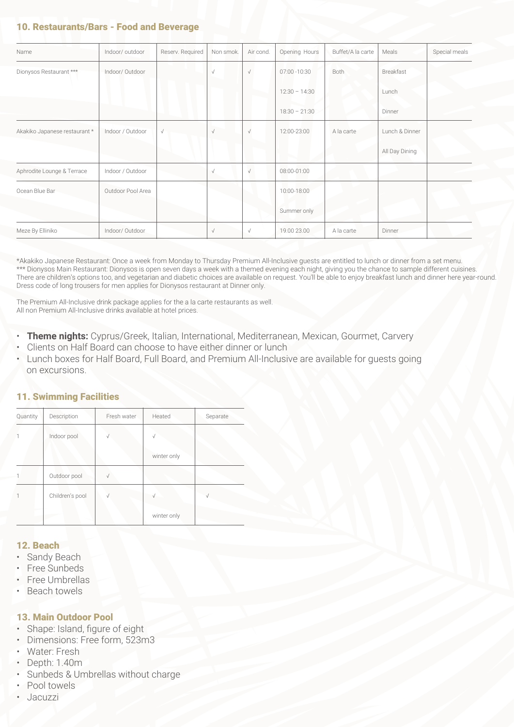#### 10. Restaurants/Bars - Food and Beverage

| Name                          | Indoor/outdoor    | Reserv. Required | Non smok.  | Air cond.  | Opening Hours   | Buffet/A la carte | Meals          | Special meals |
|-------------------------------|-------------------|------------------|------------|------------|-----------------|-------------------|----------------|---------------|
| Dionysos Restaurant ***       | Indoor/Outdoor    |                  | $\sqrt{ }$ | $\sqrt{ }$ | 07:00 - 10:30   | Both              | Breakfast      |               |
|                               |                   |                  |            |            | $12:30 - 14:30$ |                   | Lunch          |               |
|                               |                   |                  |            |            | $18:30 - 21:30$ |                   | Dinner         |               |
| Akakiko Japanese restaurant * | Indoor / Outdoor  | $\sqrt{ }$       | $\sqrt{ }$ | $\sqrt{ }$ | 12:00-23:00     | A la carte        | Lunch & Dinner |               |
|                               |                   |                  |            |            |                 |                   | All Day Dining |               |
| Aphrodite Lounge & Terrace    | Indoor / Outdoor  |                  | $\sqrt{}$  | $\sqrt{}$  | 08:00-01:00     |                   |                |               |
| Ocean Blue Bar                | Outdoor Pool Area |                  |            |            | 10:00-18:00     |                   |                |               |
|                               |                   |                  |            |            | Summer only     |                   |                |               |
| Meze By Elliniko              | Indoor/Outdoor    |                  | $\sqrt{}$  | $\sqrt{}$  | 19.00 23.00     | A la carte        | Dinner         |               |

\*Akakiko Japanese Restaurant: Once a week from Monday to Thursday Premium All-Inclusive guests are entitled to lunch or dinner from a set menu. \*\*\* Dionysos Main Restaurant: Dionysos is open seven days a week with a themed evening each night, giving you the chance to sample different cuisines. There are children's options too, and vegetarian and diabetic choices are available on request. You'll be able to enjoy breakfast lunch and dinner here year-round. Dress code of long trousers for men applies for Dionysos restaurant at Dinner only.

The Premium All-Inclusive drink package applies for the a la carte restaurants as well. All non Premium All-Inclusive drinks available at hotel prices.

- **Theme nights:** Cyprus/Greek, Italian, International, Mediterranean, Mexican, Gourmet, Carvery
- Clients on Half Board can choose to have either dinner or lunch
- Lunch boxes for Half Board, Full Board, and Premium All-Inclusive are available for guests going on excursions.

#### 11. Swimming Facilities

| Quantity     | Description     | Fresh water | Heated      | Separate |
|--------------|-----------------|-------------|-------------|----------|
| $\mathbf{1}$ | Indoor pool     | $\sqrt{}$   | ν           |          |
|              |                 |             | winter only |          |
| 1            | Outdoor pool    | $\sqrt{ }$  |             |          |
| 1            | Children's pool | ν           | ν           |          |
|              |                 |             | winter only |          |

#### 12. Beach

- Sandy Beach
- Free Sunbeds
- Free Umbrellas
- Beach towels

#### 13. Main Outdoor Pool

- Shape: Island, figure of eight
- Dimensions: Free form, 523m3
- Water: Fresh
- Depth: 1.40m
- Sunbeds & Umbrellas without charge
- Pool towels
- Jacuzzi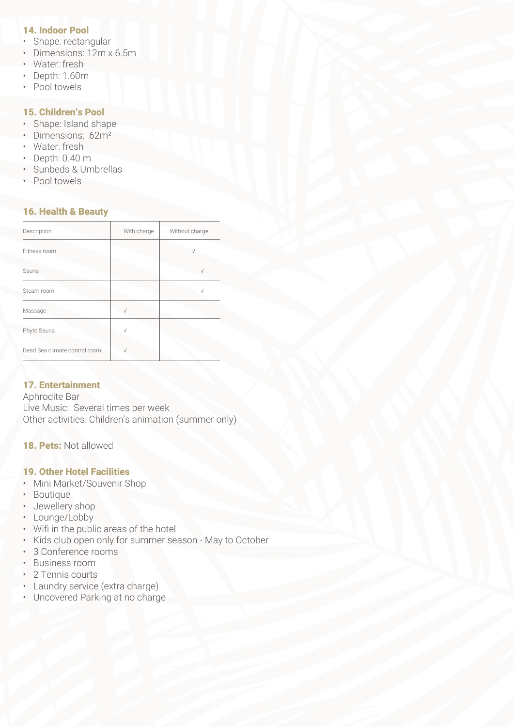#### 14. Indoor Pool

- Shape: rectangular<br>• Dimensions: 12m x
- Dimensions: 12m x 6.5m
- Water: fresh
- Depth: 1.60m
- Pool towels

#### 15. Children's Pool

- Shape: Island shape
- Dimensions: 62m²
- Water: fresh
- Depth: 0.40 m
- Sunbeds & Umbrellas
- Pool towels

#### 16. Health & Beauty

| Description                   | With charge | Without charge |
|-------------------------------|-------------|----------------|
| Fitness room                  |             |                |
| Sauna                         |             |                |
| Steam room                    |             |                |
| Massage                       |             |                |
| Phyto Sauna                   |             |                |
| Dead Sea climate control room |             |                |

#### 17. Entertainment

Aphrodite Bar Live Music: Several times per week Other activities: Children's animation (summer only)

#### 18. Pets: Not allowed

#### 19. Other Hotel Facilities

- Mini Market/Souvenir Shop
- Boutique
- Jewellery shop
- Lounge/Lobby
- Wifi in the public areas of the hotel
- Kids club open only for summer season May to October
- 3 Conference rooms
- Business room
- 2 Tennis courts
- Laundry service (extra charge)
- Uncovered Parking at no charge